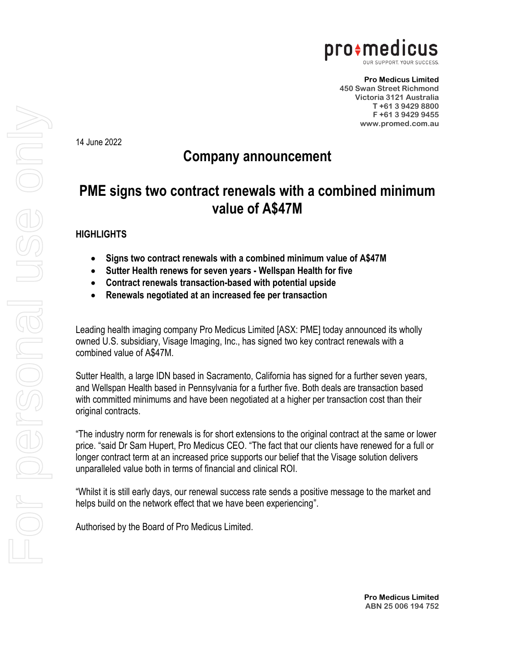

**Pro Medicus Limited 450 Swan Street Richmond Victoria 3121 Australia T +61 3 9429 8800 F +61 3 9429 9455 www.promed.com.au**

14 June 2022

## **Company announcement**

## **PME signs two contract renewals with a combined minimum value of A\$47M**

## **HIGHLIGHTS**

- **Signs two contract renewals with a combined minimum value of A\$47M**
- **Sutter Health renews for seven years - Wellspan Health for five**
- **Contract renewals transaction-based with potential upside**
- **Renewals negotiated at an increased fee per transaction**

Leading health imaging company Pro Medicus Limited [ASX: PME] today announced its wholly owned U.S. subsidiary, Visage Imaging, Inc., has signed two key contract renewals with a combined value of A\$47M.

Sutter Health, a large IDN based in Sacramento, California has signed for a further seven years, and Wellspan Health based in Pennsylvania for a further five. Both deals are transaction based with committed minimums and have been negotiated at a higher per transaction cost than their original contracts.

"The industry norm for renewals is for short extensions to the original contract at the same or lower price. "said Dr Sam Hupert, Pro Medicus CEO. "The fact that our clients have renewed for a full or longer contract term at an increased price supports our belief that the Visage solution delivers unparalleled value both in terms of financial and clinical ROI.

"Whilst it is still early days, our renewal success rate sends a positive message to the market and helps build on the network effect that we have been experiencing".

Authorised by the Board of Pro Medicus Limited.